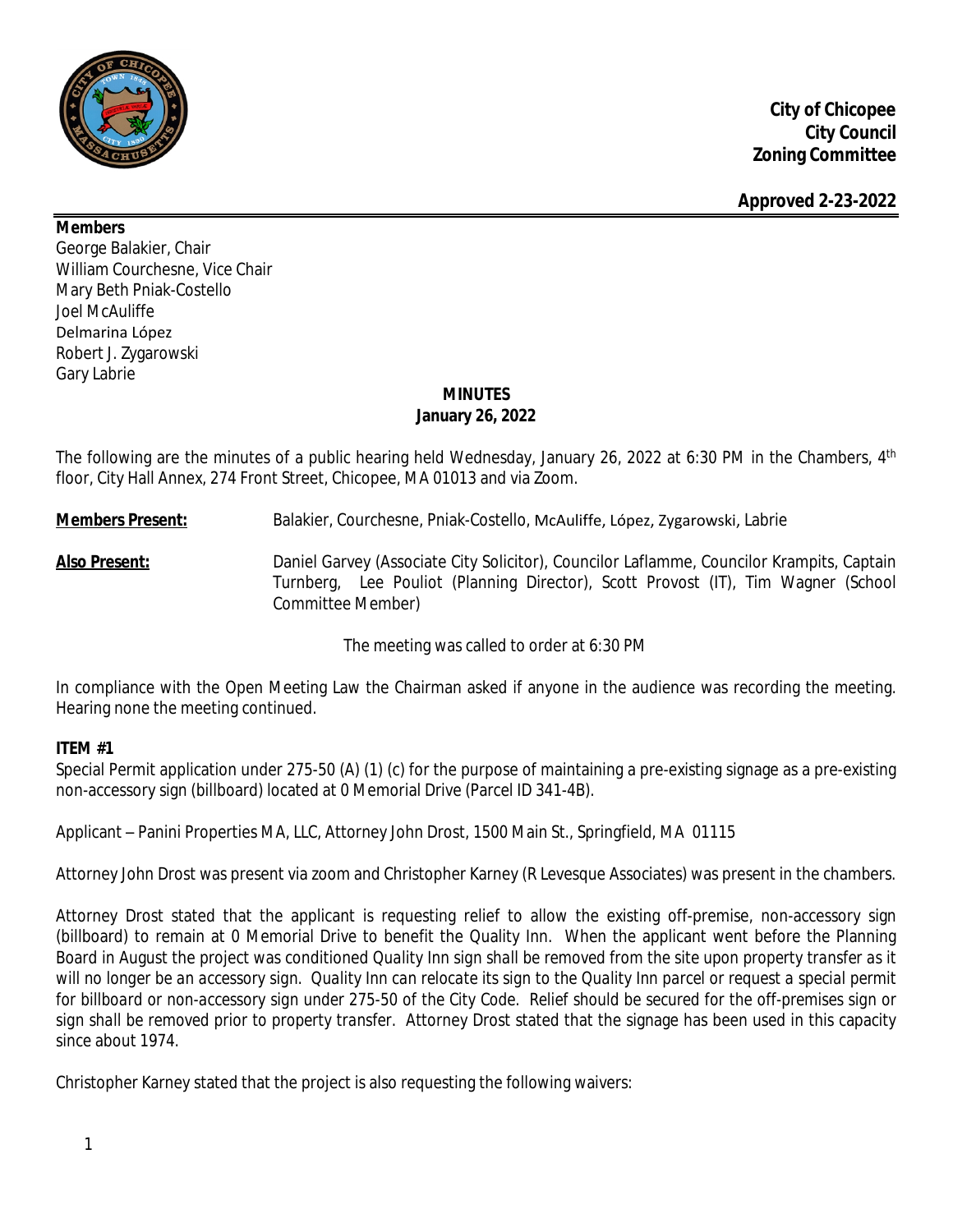

**Members**

George Balakier, Chair William Courchesne, Vice Chair Mary Beth Pniak-Costello Joel McAuliffe Delmarina López Robert J. Zygarowski Gary Labrie

# **MINUTES January 26, 2022**

The following are the minutes of a public hearing held Wednesday, January 26, 2022 at 6:30 PM in the Chambers, 4<sup>th</sup> floor, City Hall Annex, 274 Front Street, Chicopee, MA 01013 and via Zoom.

**Members Present:** Balakier, Courchesne, Pniak-Costello, McAuliffe, López, Zygarowski, Labrie

**Also Present:** Daniel Garvey (Associate City Solicitor), Councilor Laflamme, Councilor Krampits, Captain Turnberg, Lee Pouliot (Planning Director), Scott Provost (IT), Tim Wagner (School Committee Member)

The meeting was called to order at 6:30 PM

In compliance with the Open Meeting Law the Chairman asked if anyone in the audience was recording the meeting. Hearing none the meeting continued.

# **ITEM #1**

Special Permit application under 275-50 (A) (1) (c) for the purpose of maintaining a pre-existing signage as a pre-existing non-accessory sign (billboard) located at 0 Memorial Drive (Parcel ID 341-4B).

Applicant – Panini Properties MA, LLC, Attorney John Drost, 1500 Main St., Springfield, MA 01115

Attorney John Drost was present via zoom and Christopher Karney (R Levesque Associates) was present in the chambers.

Attorney Drost stated that the applicant is requesting relief to allow the existing off-premise, non-accessory sign (billboard) to remain at 0 Memorial Drive to benefit the Quality Inn. When the applicant went before the Planning Board in August the project was conditioned *Quality Inn sign shall be removed from the site upon property transfer as it* will no longer be an accessory sign. Quality Inn can relocate its sign to the Quality Inn parcel or request a special permit for billboard or non-accessory sign under 275-50 of the City Code. Relief should be secured for the off-premises sign or *sign shall be removed prior to property transfer.* Attorney Drost stated that the signage has been used in this capacity since about 1974.

Christopher Karney stated that the project is also requesting the following waivers: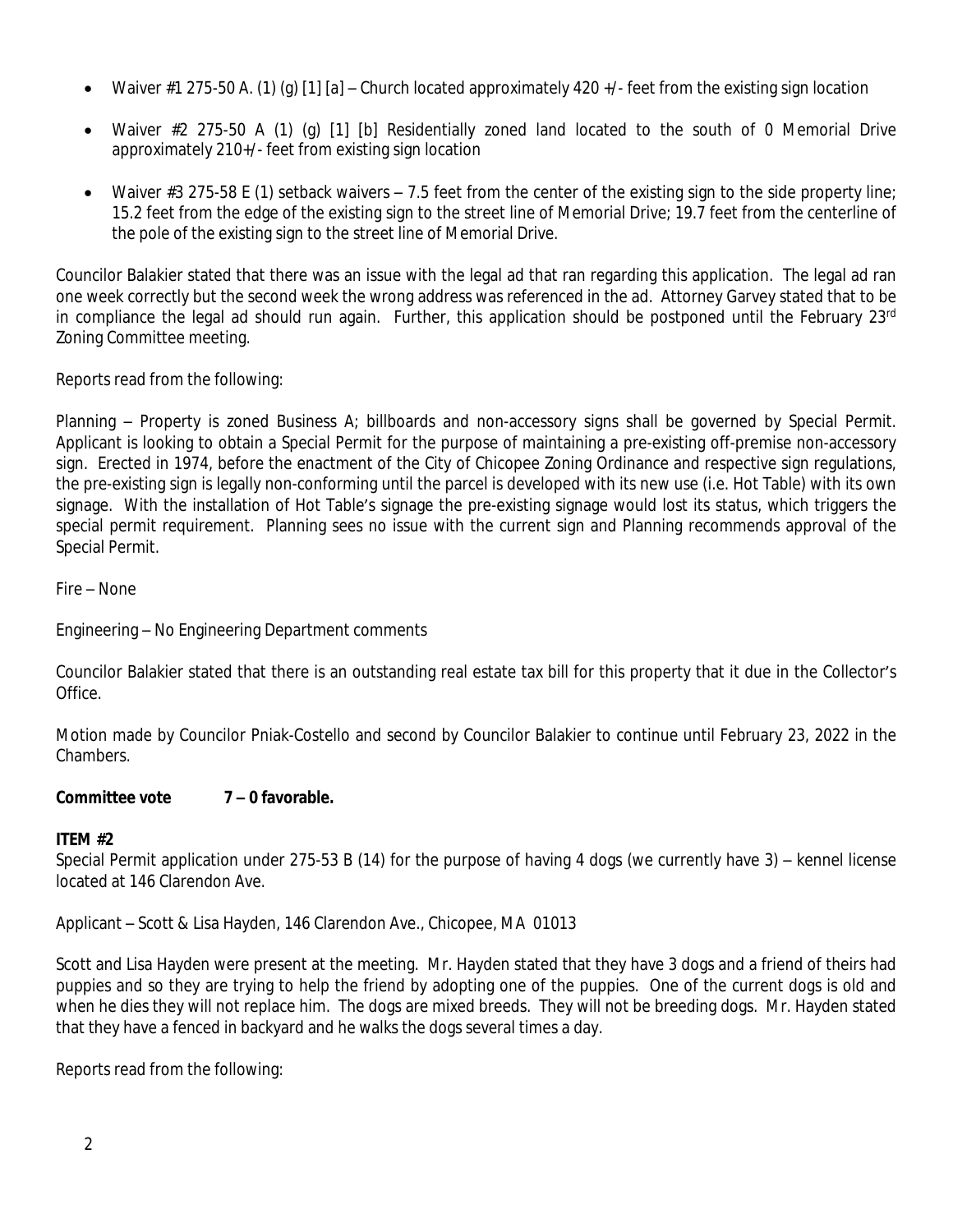- Waiver #1 275-50 A. (1) (g) [1] [a] Church located approximately 420 +/- feet from the existing sign location
- Waiver #2 275-50 A (1) (g) [1] [b] Residentially zoned land located to the south of 0 Memorial Drive approximately 210+/- feet from existing sign location
- Waiver #3 275-58 E (1) setback waivers  $-7.5$  feet from the center of the existing sign to the side property line; 15.2 feet from the edge of the existing sign to the street line of Memorial Drive; 19.7 feet from the centerline of the pole of the existing sign to the street line of Memorial Drive.

Councilor Balakier stated that there was an issue with the legal ad that ran regarding this application. The legal ad ran one week correctly but the second week the wrong address was referenced in the ad. Attorney Garvey stated that to be in compliance the legal ad should run again. Further, this application should be postponed until the February 23<sup>rd</sup> Zoning Committee meeting.

Reports read from the following:

Planning – Property is zoned Business A; billboards and non-accessory signs shall be governed by Special Permit. Applicant is looking to obtain a Special Permit for the purpose of maintaining a pre-existing off-premise non-accessory sign. Erected in 1974, before the enactment of the City of Chicopee Zoning Ordinance and respective sign regulations, the pre-existing sign is legally non-conforming until the parcel is developed with its new use (i.e. Hot Table) with its own signage. With the installation of Hot Table's signage the pre-existing signage would lost its status, which triggers the special permit requirement. Planning sees no issue with the current sign and Planning recommends approval of the Special Permit.

Fire – None

Engineering – No Engineering Department comments

Councilor Balakier stated that there is an outstanding real estate tax bill for this property that it due in the Collector's Office.

Motion made by Councilor Pniak-Costello and second by Councilor Balakier to continue until February 23, 2022 in the Chambers.

#### **Committee vote 7 – 0 favorable.**

#### **ITEM #2**

Special Permit application under 275-53 B (14) for the purpose of having 4 dogs (we currently have 3) – kennel license located at 146 Clarendon Ave.

Applicant – Scott & Lisa Hayden, 146 Clarendon Ave., Chicopee, MA 01013

Scott and Lisa Hayden were present at the meeting. Mr. Hayden stated that they have 3 dogs and a friend of theirs had puppies and so they are trying to help the friend by adopting one of the puppies. One of the current dogs is old and when he dies they will not replace him. The dogs are mixed breeds. They will not be breeding dogs. Mr. Hayden stated that they have a fenced in backyard and he walks the dogs several times a day.

Reports read from the following: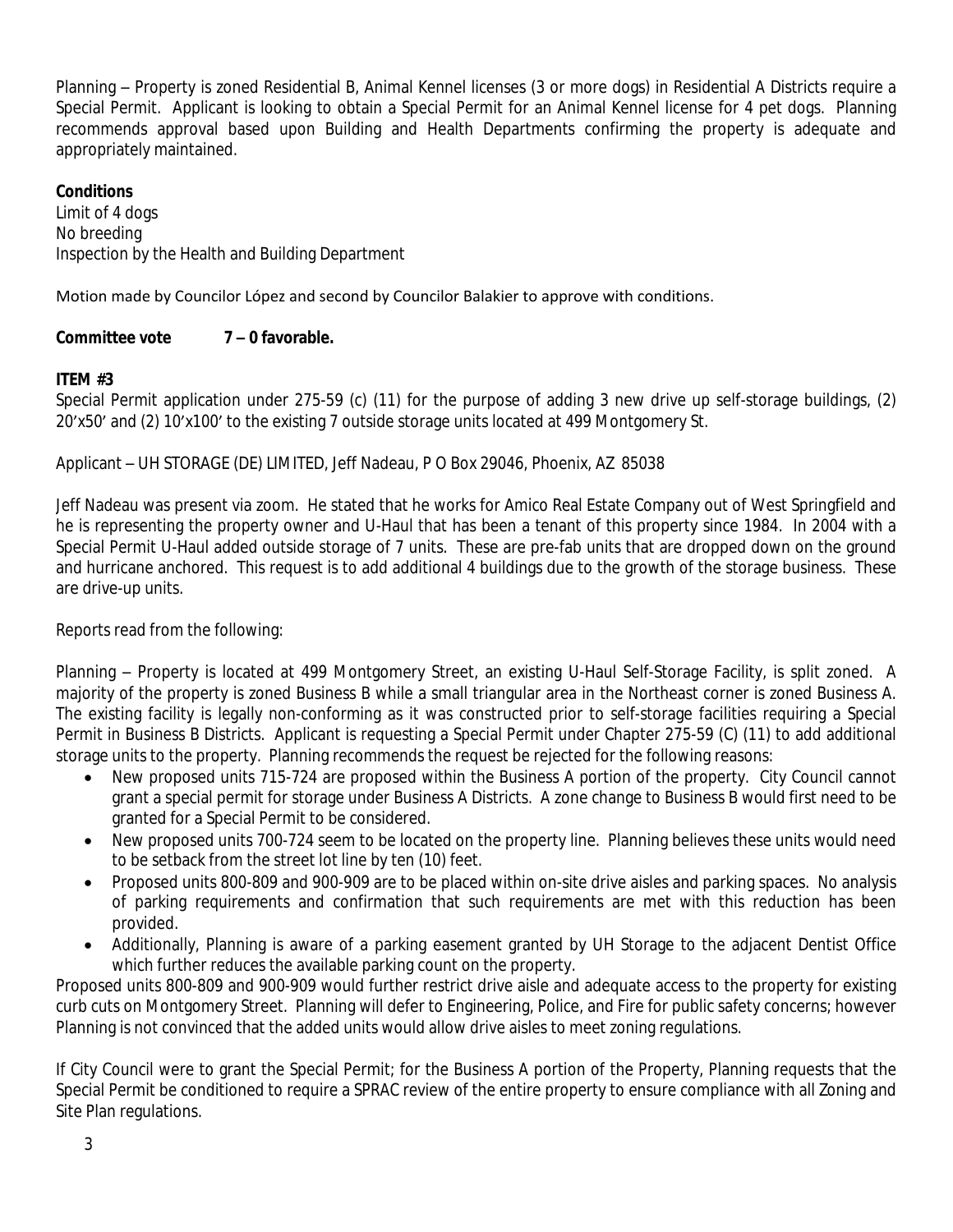Planning – Property is zoned Residential B, Animal Kennel licenses (3 or more dogs) in Residential A Districts require a Special Permit. Applicant is looking to obtain a Special Permit for an Animal Kennel license for 4 pet dogs. Planning recommends approval based upon Building and Health Departments confirming the property is adequate and appropriately maintained.

## **Conditions**

Limit of 4 dogs No breeding Inspection by the Health and Building Department

Motion made by Councilor López and second by Councilor Balakier to approve with conditions.

# **Committee vote 7 – 0 favorable.**

## **ITEM #3**

Special Permit application under 275-59 (c) (11) for the purpose of adding 3 new drive up self-storage buildings, (2) 20'x50' and (2) 10'x100' to the existing 7 outside storage units located at 499 Montgomery St.

Applicant – UH STORAGE (DE) LIMITED, Jeff Nadeau, P O Box 29046, Phoenix, AZ 85038

Jeff Nadeau was present via zoom. He stated that he works for Amico Real Estate Company out of West Springfield and he is representing the property owner and U-Haul that has been a tenant of this property since 1984. In 2004 with a Special Permit U-Haul added outside storage of 7 units. These are pre-fab units that are dropped down on the ground and hurricane anchored. This request is to add additional 4 buildings due to the growth of the storage business. These are drive-up units.

Reports read from the following:

Planning – Property is located at 499 Montgomery Street, an existing U-Haul Self-Storage Facility, is split zoned. A majority of the property is zoned Business B while a small triangular area in the Northeast corner is zoned Business A. The existing facility is legally non-conforming as it was constructed prior to self-storage facilities requiring a Special Permit in Business B Districts. Applicant is requesting a Special Permit under Chapter 275-59 (C) (11) to add additional storage units to the property. Planning recommends the request be rejected for the following reasons:

- New proposed units 715-724 are proposed within the Business A portion of the property. City Council cannot grant a special permit for storage under Business A Districts. A zone change to Business B would first need to be granted for a Special Permit to be considered.
- New proposed units 700-724 seem to be located on the property line. Planning believes these units would need to be setback from the street lot line by ten (10) feet.
- Proposed units 800-809 and 900-909 are to be placed within on-site drive aisles and parking spaces. No analysis of parking requirements and confirmation that such requirements are met with this reduction has been provided.
- Additionally, Planning is aware of a parking easement granted by UH Storage to the adjacent Dentist Office which further reduces the available parking count on the property.

Proposed units 800-809 and 900-909 would further restrict drive aisle and adequate access to the property for existing curb cuts on Montgomery Street. Planning will defer to Engineering, Police, and Fire for public safety concerns; however Planning is not convinced that the added units would allow drive aisles to meet zoning regulations.

If City Council were to grant the Special Permit; for the Business A portion of the Property, Planning requests that the Special Permit be conditioned to require a SPRAC review of the entire property to ensure compliance with all Zoning and Site Plan regulations.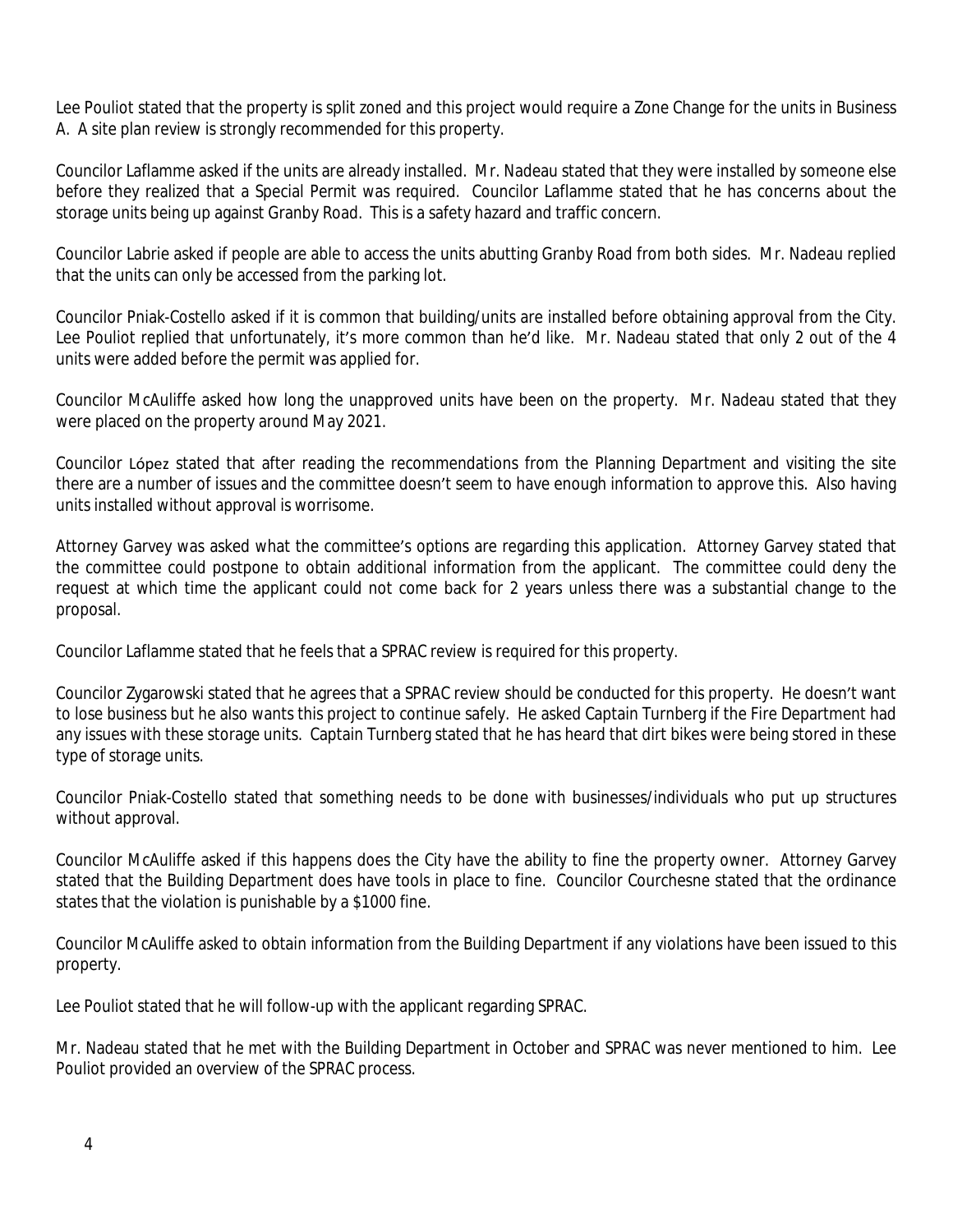Lee Pouliot stated that the property is split zoned and this project would require a Zone Change for the units in Business A. A site plan review is strongly recommended for this property.

Councilor Laflamme asked if the units are already installed. Mr. Nadeau stated that they were installed by someone else before they realized that a Special Permit was required. Councilor Laflamme stated that he has concerns about the storage units being up against Granby Road. This is a safety hazard and traffic concern.

Councilor Labrie asked if people are able to access the units abutting Granby Road from both sides. Mr. Nadeau replied that the units can only be accessed from the parking lot.

Councilor Pniak-Costello asked if it is common that building/units are installed before obtaining approval from the City. Lee Pouliot replied that unfortunately, it's more common than he'd like. Mr. Nadeau stated that only 2 out of the 4 units were added before the permit was applied for.

Councilor McAuliffe asked how long the unapproved units have been on the property. Mr. Nadeau stated that they were placed on the property around May 2021.

Councilor López stated that after reading the recommendations from the Planning Department and visiting the site there are a number of issues and the committee doesn't seem to have enough information to approve this. Also having units installed without approval is worrisome.

Attorney Garvey was asked what the committee's options are regarding this application. Attorney Garvey stated that the committee could postpone to obtain additional information from the applicant. The committee could deny the request at which time the applicant could not come back for 2 years unless there was a substantial change to the proposal.

Councilor Laflamme stated that he feels that a SPRAC review is required for this property.

Councilor Zygarowski stated that he agrees that a SPRAC review should be conducted for this property. He doesn't want to lose business but he also wants this project to continue safely. He asked Captain Turnberg if the Fire Department had any issues with these storage units. Captain Turnberg stated that he has heard that dirt bikes were being stored in these type of storage units.

Councilor Pniak-Costello stated that something needs to be done with businesses/individuals who put up structures without approval.

Councilor McAuliffe asked if this happens does the City have the ability to fine the property owner. Attorney Garvey stated that the Building Department does have tools in place to fine. Councilor Courchesne stated that the ordinance states that the violation is punishable by a \$1000 fine.

Councilor McAuliffe asked to obtain information from the Building Department if any violations have been issued to this property.

Lee Pouliot stated that he will follow-up with the applicant regarding SPRAC.

Mr. Nadeau stated that he met with the Building Department in October and SPRAC was never mentioned to him. Lee Pouliot provided an overview of the SPRAC process.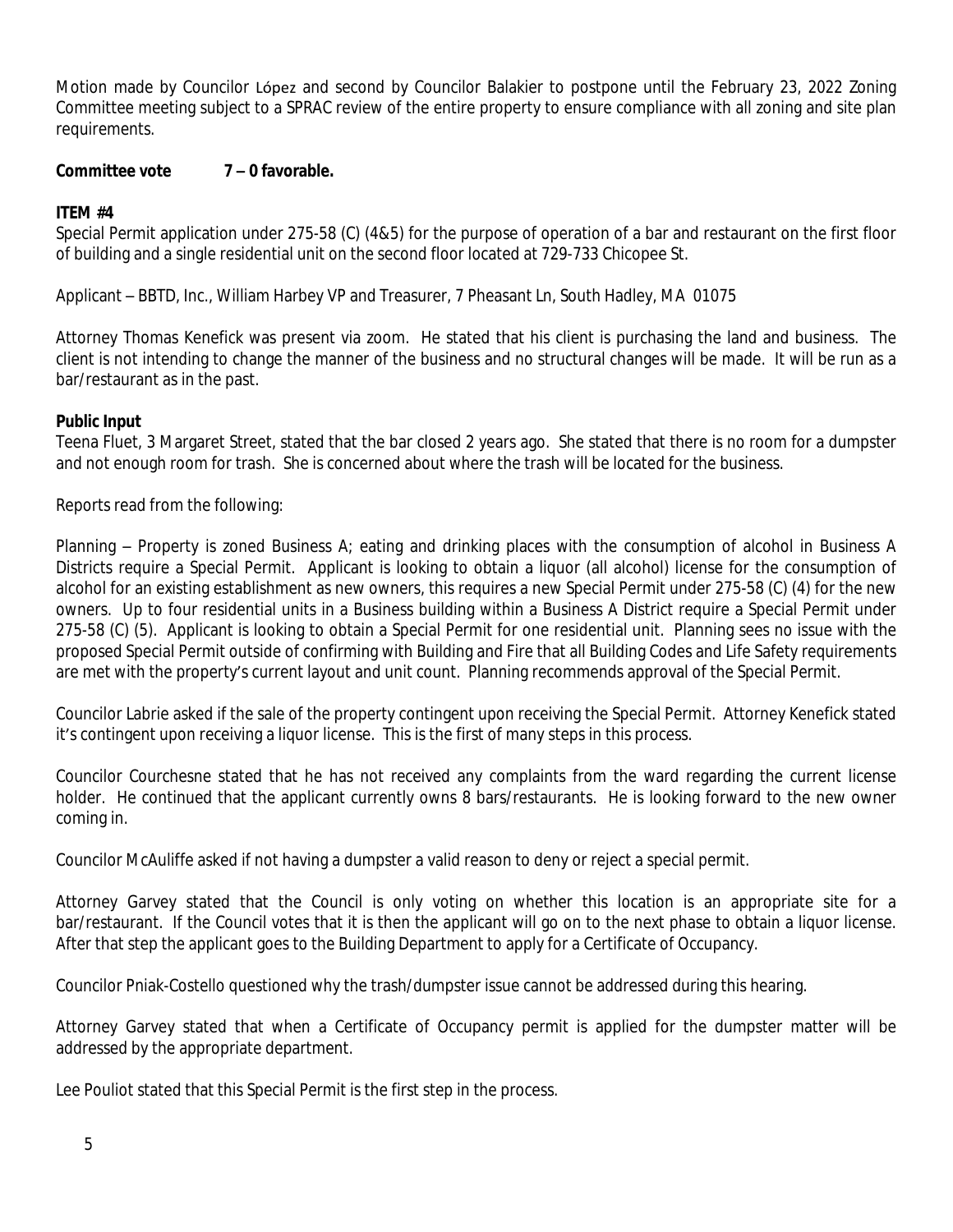Motion made by Councilor López and second by Councilor Balakier to postpone until the February 23, 2022 Zoning Committee meeting subject to a SPRAC review of the entire property to ensure compliance with all zoning and site plan requirements.

#### **Committee vote 7 – 0 favorable.**

### **ITEM #4**

Special Permit application under 275-58 (C) (4&5) for the purpose of operation of a bar and restaurant on the first floor of building and a single residential unit on the second floor located at 729-733 Chicopee St.

Applicant – BBTD, Inc., William Harbey VP and Treasurer, 7 Pheasant Ln, South Hadley, MA 01075

Attorney Thomas Kenefick was present via zoom. He stated that his client is purchasing the land and business. The client is not intending to change the manner of the business and no structural changes will be made. It will be run as a bar/restaurant as in the past.

#### **Public Input**

Teena Fluet, 3 Margaret Street, stated that the bar closed 2 years ago. She stated that there is no room for a dumpster and not enough room for trash. She is concerned about where the trash will be located for the business.

Reports read from the following:

Planning – Property is zoned Business A; eating and drinking places with the consumption of alcohol in Business A Districts require a Special Permit. Applicant is looking to obtain a liquor (all alcohol) license for the consumption of alcohol for an existing establishment as new owners, this requires a new Special Permit under 275-58 (C) (4) for the new owners. Up to four residential units in a Business building within a Business A District require a Special Permit under 275-58 (C) (5). Applicant is looking to obtain a Special Permit for one residential unit. Planning sees no issue with the proposed Special Permit outside of confirming with Building and Fire that all Building Codes and Life Safety requirements are met with the property's current layout and unit count. Planning recommends approval of the Special Permit.

Councilor Labrie asked if the sale of the property contingent upon receiving the Special Permit. Attorney Kenefick stated it's contingent upon receiving a liquor license. This is the first of many steps in this process.

Councilor Courchesne stated that he has not received any complaints from the ward regarding the current license holder. He continued that the applicant currently owns 8 bars/restaurants. He is looking forward to the new owner coming in.

Councilor McAuliffe asked if not having a dumpster a valid reason to deny or reject a special permit.

Attorney Garvey stated that the Council is only voting on whether this location is an appropriate site for a bar/restaurant. If the Council votes that it is then the applicant will go on to the next phase to obtain a liquor license. After that step the applicant goes to the Building Department to apply for a Certificate of Occupancy.

Councilor Pniak-Costello questioned why the trash/dumpster issue cannot be addressed during this hearing.

Attorney Garvey stated that when a Certificate of Occupancy permit is applied for the dumpster matter will be addressed by the appropriate department.

Lee Pouliot stated that this Special Permit is the first step in the process.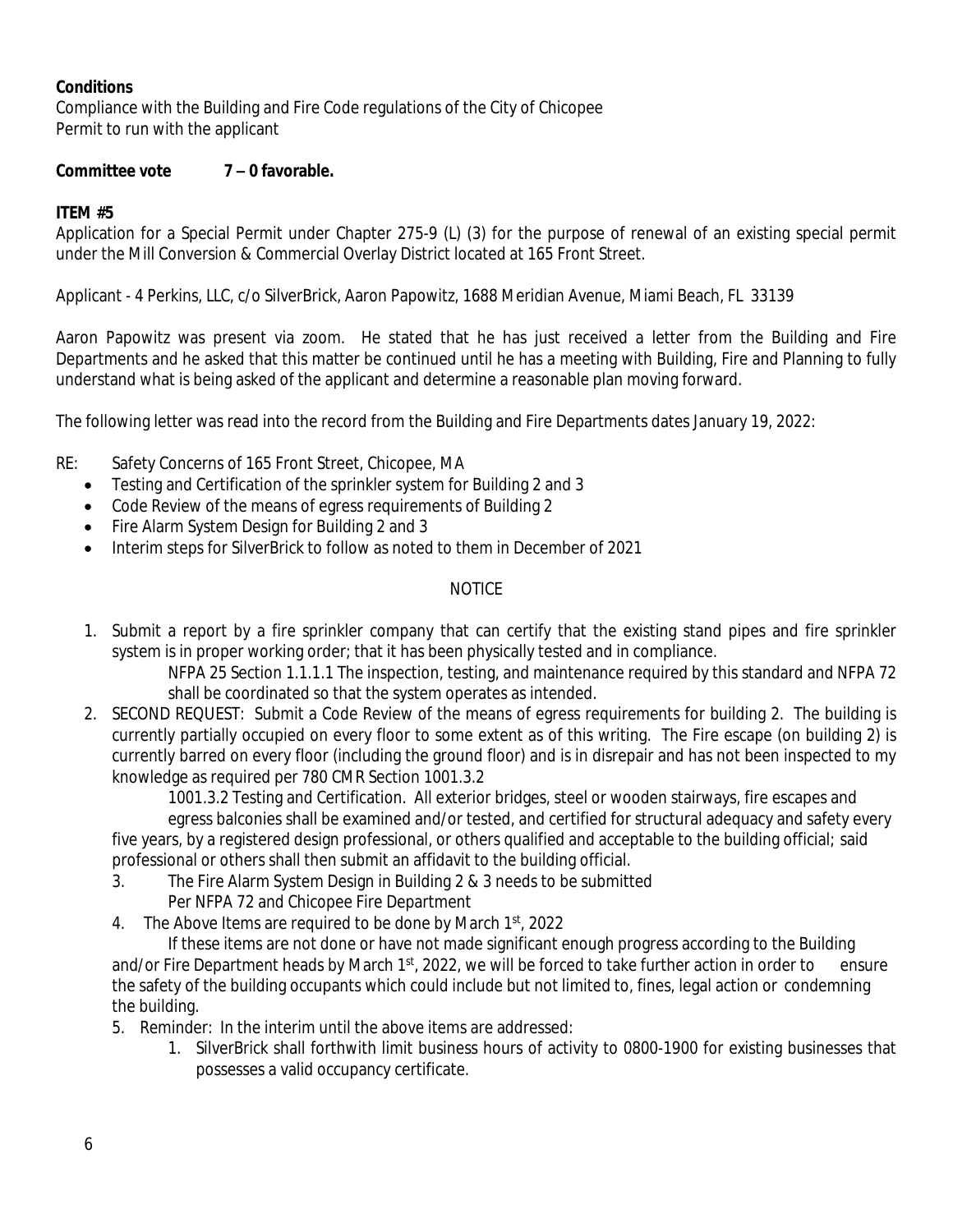## **Conditions**

Compliance with the Building and Fire Code regulations of the City of Chicopee Permit to run with the applicant

## **Committee vote 7 – 0 favorable.**

# **ITEM #5**

Application for a Special Permit under Chapter 275-9 (L) (3) for the purpose of renewal of an existing special permit under the Mill Conversion & Commercial Overlay District located at 165 Front Street.

Applicant - 4 Perkins, LLC, c/o SilverBrick, Aaron Papowitz, 1688 Meridian Avenue, Miami Beach, FL 33139

Aaron Papowitz was present via zoom. He stated that he has just received a letter from the Building and Fire Departments and he asked that this matter be continued until he has a meeting with Building, Fire and Planning to fully understand what is being asked of the applicant and determine a reasonable plan moving forward.

The following letter was read into the record from the Building and Fire Departments dates January 19, 2022:

RE: Safety Concerns of 165 Front Street, Chicopee, MA

- Testing and Certification of the sprinkler system for Building 2 and 3
- Code Review of the means of egress requirements of Building 2
- Fire Alarm System Design for Building 2 and 3
- Interim steps for SilverBrick to follow as noted to them in December of 2021

# NOTICE

1. Submit a report by a fire sprinkler company that can certify that the existing stand pipes and fire sprinkler system is in proper working order; that it has been physically tested and in compliance.

NFPA 25 Section 1.1.1.1 The inspection, testing, and maintenance required by this standard and NFPA 72 shall be coordinated so that the system operates as intended.

2. SECOND REQUEST: Submit a Code Review of the means of egress requirements for building 2. The building is currently partially occupied on every floor to some extent as of this writing. The Fire escape (on building 2) is currently barred on every floor (including the ground floor) and is in disrepair and has not been inspected to my knowledge as required per 780 CMR Section 1001.3.2

1001.3.2 Testing and Certification. All exterior bridges, steel or wooden stairways, fire escapes and egress balconies shall be examined and/or tested, and certified for structural adequacy and safety every five years, by a registered design professional, or others qualified and acceptable to the building official; said professional or others shall then submit an affidavit to the building official.

- 3. The Fire Alarm System Design in Building 2 & 3 needs to be submitted Per NFPA 72 and Chicopee Fire Department
- 4. The Above Items are required to be done by March 1<sup>st</sup>, 2022

If these items are not done or have not made significant enough progress according to the Building and/or Fire Department heads by March  $1<sup>st</sup>$ , 2022, we will be forced to take further action in order to ensure the safety of the building occupants which could include but not limited to, fines, legal action or condemning the building.

- 5. Reminder: In the interim until the above items are addressed:
	- 1. SilverBrick shall forthwith limit business hours of activity to 0800-1900 for existing businesses that possesses a valid occupancy certificate.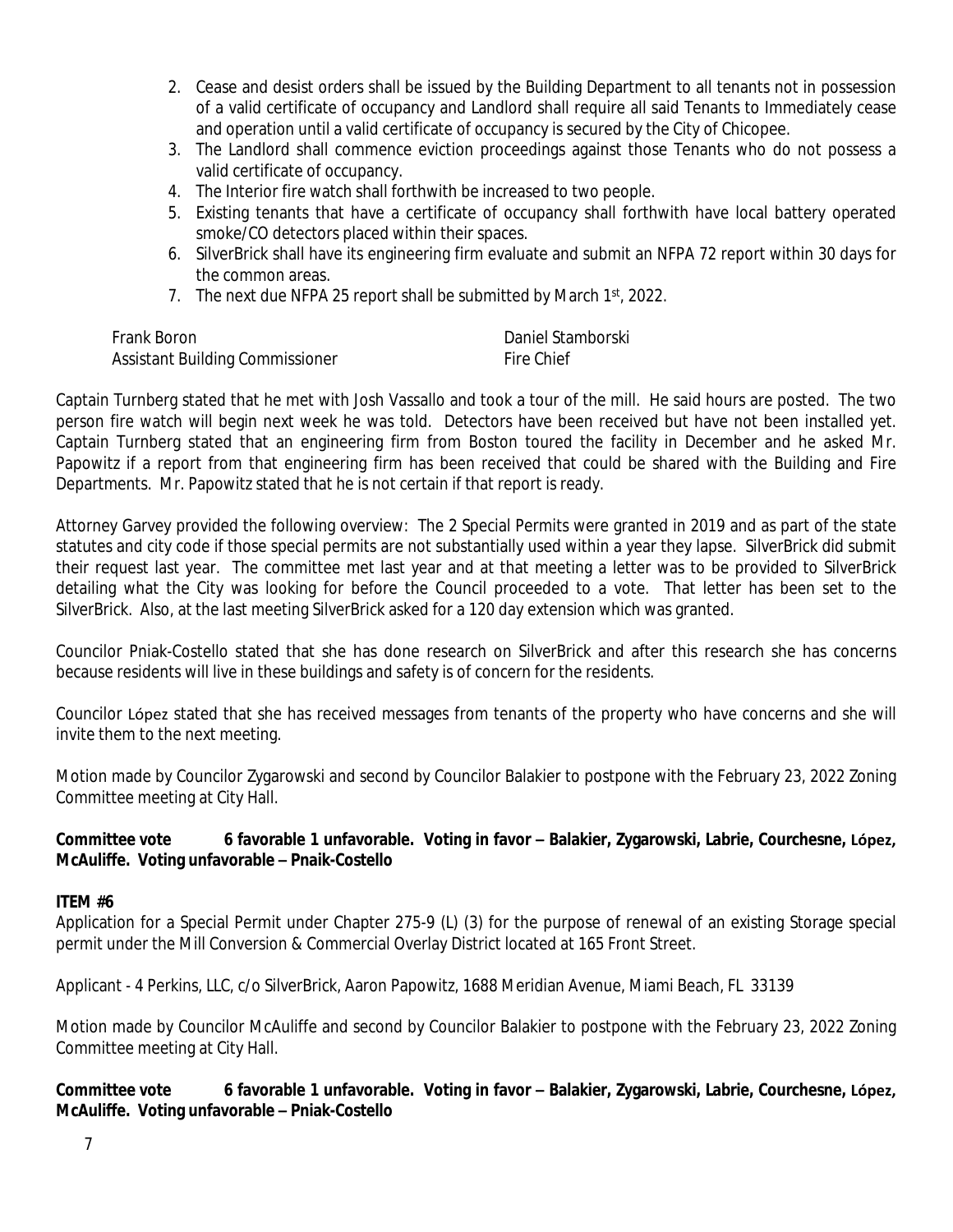- 2. Cease and desist orders shall be issued by the Building Department to all tenants not in possession of a valid certificate of occupancy and Landlord shall require all said Tenants to Immediately cease and operation until a valid certificate of occupancy is secured by the City of Chicopee.
- 3. The Landlord shall commence eviction proceedings against those Tenants who do not possess a valid certificate of occupancy.
- 4. The Interior fire watch shall forthwith be increased to two people.
- 5. Existing tenants that have a certificate of occupancy shall forthwith have local battery operated smoke/CO detectors placed within their spaces.
- 6. SilverBrick shall have its engineering firm evaluate and submit an NFPA 72 report within 30 days for the common areas.
- 7. The next due NFPA 25 report shall be submitted by March 1<sup>st</sup>, 2022.

| Frank Boron                     | Daniel Stamborski |
|---------------------------------|-------------------|
| Assistant Building Commissioner | Fire Chief        |

Captain Turnberg stated that he met with Josh Vassallo and took a tour of the mill. He said hours are posted. The two person fire watch will begin next week he was told. Detectors have been received but have not been installed yet. Captain Turnberg stated that an engineering firm from Boston toured the facility in December and he asked Mr. Papowitz if a report from that engineering firm has been received that could be shared with the Building and Fire Departments. Mr. Papowitz stated that he is not certain if that report is ready.

Attorney Garvey provided the following overview: The 2 Special Permits were granted in 2019 and as part of the state statutes and city code if those special permits are not substantially used within a year they lapse. SilverBrick did submit their request last year. The committee met last year and at that meeting a letter was to be provided to SilverBrick detailing what the City was looking for before the Council proceeded to a vote. That letter has been set to the SilverBrick. Also, at the last meeting SilverBrick asked for a 120 day extension which was granted.

Councilor Pniak-Costello stated that she has done research on SilverBrick and after this research she has concerns because residents will live in these buildings and safety is of concern for the residents.

Councilor López stated that she has received messages from tenants of the property who have concerns and she will invite them to the next meeting.

Motion made by Councilor Zygarowski and second by Councilor Balakier to postpone with the February 23, 2022 Zoning Committee meeting at City Hall.

### **Committee vote 6 favorable 1 unfavorable. Voting in favor – Balakier, Zygarowski, Labrie, Courchesne, López, McAuliffe. Voting unfavorable – Pnaik-Costello**

#### **ITEM #6**

Application for a Special Permit under Chapter 275-9 (L) (3) for the purpose of renewal of an existing Storage special permit under the Mill Conversion & Commercial Overlay District located at 165 Front Street.

Applicant - 4 Perkins, LLC, c/o SilverBrick, Aaron Papowitz, 1688 Meridian Avenue, Miami Beach, FL 33139

Motion made by Councilor McAuliffe and second by Councilor Balakier to postpone with the February 23, 2022 Zoning Committee meeting at City Hall.

**Committee vote 6 favorable 1 unfavorable. Voting in favor – Balakier, Zygarowski, Labrie, Courchesne, López, McAuliffe. Voting unfavorable – Pniak-Costello**